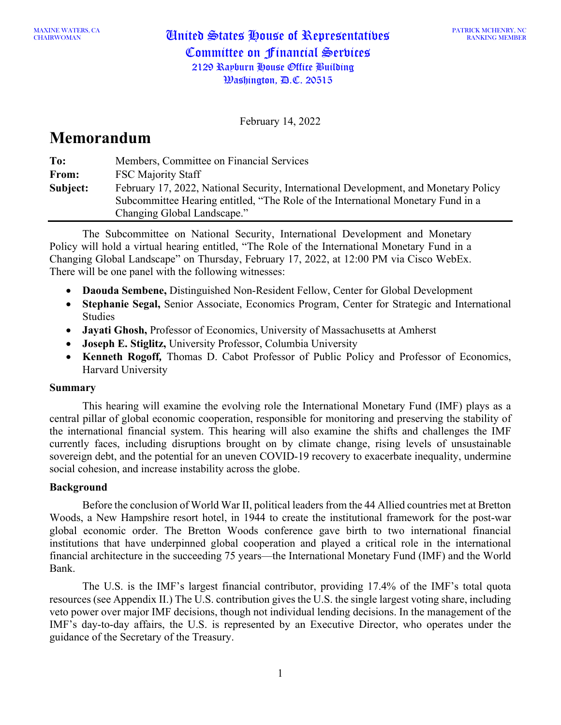CHAIRWOMAN United States House of Representatives Committee on Financial Services 2129 Rayburn House Office Building Washington, D.C. 20515

February 14, 2022

# **Memorandum**

| To:      | Members, Committee on Financial Services                                             |  |
|----------|--------------------------------------------------------------------------------------|--|
| From:    | <b>FSC Majority Staff</b>                                                            |  |
| Subject: | February 17, 2022, National Security, International Development, and Monetary Policy |  |
|          | Subcommittee Hearing entitled, "The Role of the International Monetary Fund in a     |  |
|          | Changing Global Landscape."                                                          |  |

The Subcommittee on National Security, International Development and Monetary Policy will hold a virtual hearing entitled, "The Role of the International Monetary Fund in a Changing Global Landscape" on Thursday, February 17, 2022, at 12:00 PM via Cisco WebEx. There will be one panel with the following witnesses:

- **Daouda Sembene,** Distinguished Non-Resident Fellow, Center for Global Development
- **Stephanie Segal,** Senior Associate, Economics Program, Center for Strategic and International Studies
- **Jayati Ghosh,** Professor of Economics, University of Massachusetts at Amherst
- **Joseph E. Stiglitz,** University Professor, Columbia University
- **Kenneth Rogoff***,* Thomas D. Cabot Professor of Public Policy and Professor of Economics, Harvard University

### **Summary**

This hearing will examine the evolving role the International Monetary Fund (IMF) plays as a central pillar of global economic cooperation, responsible for monitoring and preserving the stability of the international financial system. This hearing will also examine the shifts and challenges the IMF currently faces, including disruptions brought on by climate change, rising levels of unsustainable sovereign debt, and the potential for an uneven COVID-19 recovery to exacerbate inequality, undermine social cohesion, and increase instability across the globe.

## **Background**

Before the conclusion of World War II, political leaders from the 44 Allied countries met at Bretton Woods, a New Hampshire resort hotel, in 1944 to create the institutional framework for the post-war global economic order. The Bretton Woods conference gave birth to two international financial institutions that have underpinned global cooperation and played a critical role in the international financial architecture in the succeeding 75 years—the International Monetary Fund (IMF) and the World Bank.

The U.S. is the IMF's largest financial contributor, providing 17.4% of the IMF's total quota resources (see Appendix II.) The U.S. contribution gives the U.S. the single largest voting share, including veto power over major IMF decisions, though not individual lending decisions. In the management of the IMF's day-to-day affairs, the U.S. is represented by an Executive Director, who operates under the guidance of the Secretary of the Treasury.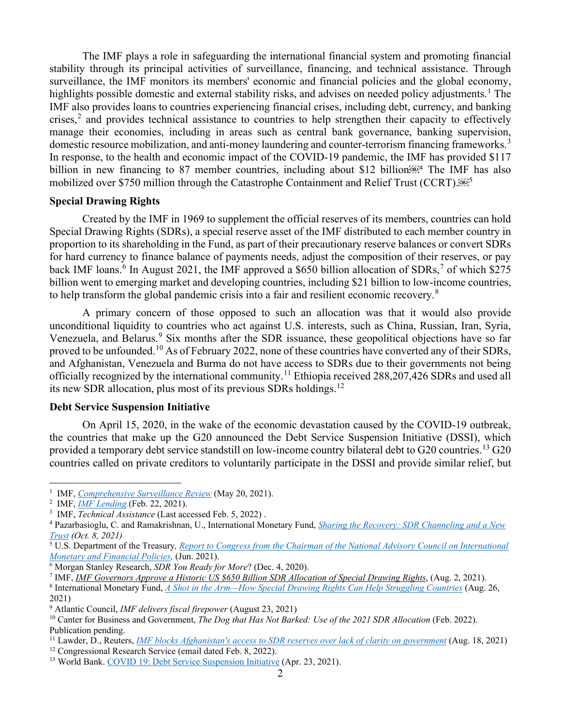The IMF plays a role in safeguarding the international financial system and promoting financial stability through its principal activities of surveillance, financing, and technical assistance. Through surveillance, the IMF monitors its members' economic and financial policies and the global economy, highlights possible domestic and external stability risks, and advises on needed policy adjustments.<sup>[1](#page-1-0)</sup> The IMF also provides loans to countries experiencing financial crises, including debt, currency, and banking crises,<sup>[2](#page-1-1)</sup> and provides technical assistance to countries to help strengthen their capacity to effectively manage their economies, including in areas such as central bank governance, banking supervision, domestic resource mobilization, and anti-money laundering and counter-terrorism financing frameworks.<sup>[3](#page-1-2)</sup> In response, to the health and economic impact of the COVID-19 pandemic, the IMF has provided \$117 billion in new financing to 87 member countries, including about \$12 billion $\mathbb{R}^{3}$  The IMF has also mobilized over \$7[5](#page-1-4)0 million through the Catastrophe Containment and Relief Trust (CCRT).<sup>56675</sup>

#### **Special Drawing Rights**

Created by the IMF in 1969 to supplement the official reserves of its members, countries can hold Special Drawing Rights (SDRs), a special reserve asset of the IMF distributed to each member country in proportion to its shareholding in the Fund, as part of their precautionary reserve balances or convert SDRs for hard currency to finance balance of payments needs, adjust the composition of their reserves, or pay back IMF loans.<sup>[6](#page-1-5)</sup> In August 2021, the IMF approved a \$650 billion allocation of SDRs,<sup>[7](#page-1-6)</sup> of which \$275 billion went to emerging market and developing countries, including \$21 billion to low-income countries, to help transform the global pandemic crisis into a fair and resilient economic recovery.<sup>[8](#page-1-7)</sup>

A primary concern of those opposed to such an allocation was that it would also provide unconditional liquidity to countries who act against U.S. interests, such as China, Russian, Iran, Syria, Venezuela, and Belarus.<sup>[9](#page-1-8)</sup> Six months after the SDR issuance, these geopolitical objections have so far proved to be unfounded.<sup>[10](#page-1-9)</sup> As of February 2022, none of these countries have converted any of their SDRs, and Afghanistan, Venezuela and Burma do not have access to SDRs due to their governments not being officially recognized by the international community.<sup>[11](#page-1-10)</sup> Ethiopia received 288,207,426 SDRs and used all its new SDR allocation, plus most of its previous SDRs holdings.<sup>[12](#page-1-11)</sup>

#### **Debt Service Suspension Initiative**

On April 15, 2020, in the wake of the economic devastation caused by the COVID-19 outbreak, the countries that make up the G20 announced the Debt Service Suspension Initiative (DSSI), which provided a temporary debt service standstill on low-income country bilateral debt to G20 countries.<sup>[13](#page-1-12)</sup> G20 countries called on private creditors to voluntarily participate in the DSSI and provide similar relief, but

<span id="page-1-7"></span><sup>8</sup> International Monetary Fund, *[A Shot in the Arm—How Special Drawing Rights Can Help Struggling Countries](https://blogs.imf.org/2021/08/26/a-shot-in-the-arm-how-special-drawing-rights-can-help-struggling-countries/)* (Aug. 26, 2021)

<span id="page-1-0"></span><sup>1</sup> IMF, *[Comprehensive Surveillance Review](https://www.imf.org/en/Topics/Comprehensive-Surveillance-Review#:%7E:text=The%20IMF%20is%20adapting%20and,for%20a%20transforming%20economic%20landscape)* (May 20, 2021).

<span id="page-1-1"></span><sup>2</sup> IMF, *[IMF Lending](https://www.imf.org/en/About/Factsheets/IMF-Lending)* (Feb. 22, 2021).

<span id="page-1-2"></span><sup>3</sup> IMF, *[Technical Assistance](https://www.imf.org/external/about/techasst.htm)* (Last accessed Feb. 5, 2022) .

<span id="page-1-3"></span><sup>4</sup> Pazarbasioglu, C. and Ramakrishnan, U., International Monetary Fund, *[Sharing the Recovery: SDR Channeling and a New](https://blogs.imf.org/2021/10/08/sharing-the-recovery-sdr-channeling-and-a-new-trust/)  [Trust](https://blogs.imf.org/2021/10/08/sharing-the-recovery-sdr-channeling-and-a-new-trust/) (Oct. 8, 2021)*

<span id="page-1-4"></span><sup>5</sup> U.S. Department of the Treasury*, [Report to Congress from the Chairman of the National Advisory Council on International](https://home.treasury.gov/system/files/206/2021NACReport-FINAL.pdf)  [Monetary and Financial Policies,](https://home.treasury.gov/system/files/206/2021NACReport-FINAL.pdf)* (Jun. 2021).

<span id="page-1-5"></span><sup>6</sup> Morgan Stanley Research, *SDR You Ready for More*? (Dec. 4, 2020).

<span id="page-1-6"></span><sup>7</sup> IMF, *[IMF Governors Approve a Historic US \\$650 Billion SDR Allocation of Special Drawing Rights](https://www.imf.org/en/News/Articles/2021/07/30/pr21235-imf-governors-approve-a-historic-us-650-billion-sdr-allocation-of-special-drawing-rights)*, (Aug. 2, 2021).

<span id="page-1-8"></span><sup>9</sup> Atlantic Council, *IMF delivers fiscal firepower* (August 23, 2021)

<span id="page-1-9"></span><sup>10</sup> Canter for Business and Government, *The Dog that Has Not Barked: Use of the 2021 SDR Allocation* (Feb. 2022). Publication pending.

<span id="page-1-10"></span><sup>11</sup> Lawder, D., Reuters, *IMF blocks Afghanistan's access to SDR reserves over lack of clarity on government* (Aug. 18, 2021)

<sup>&</sup>lt;sup>12</sup> Congressional Research Service (email dated Feb. 8, 2022).

<span id="page-1-12"></span><span id="page-1-11"></span><sup>&</sup>lt;sup>13</sup> World Bank. [COVID 19: Debt Service Suspension Initiative](https://www.worldbank.org/en/topic/debt/brief/covid-19-debt-service-suspension-initiative) (Apr. 23, 2021).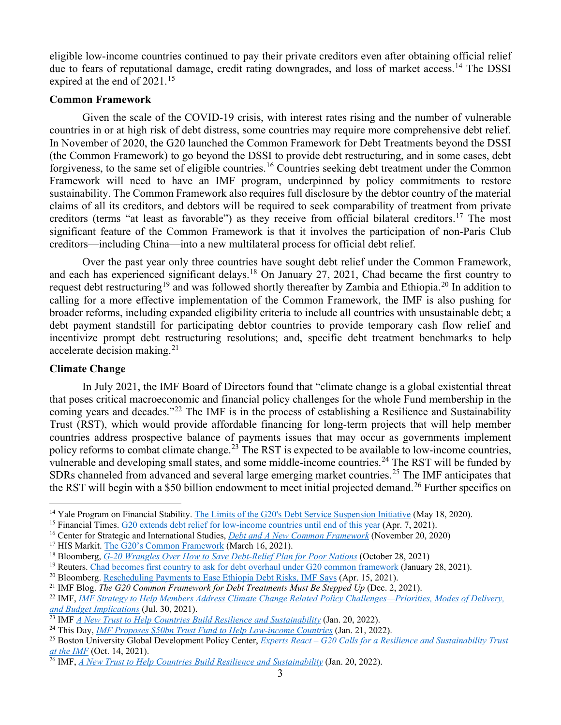eligible low-income countries continued to pay their private creditors even after obtaining official relief due to fears of reputational damage, credit rating downgrades, and loss of market access.<sup>[14](#page-2-0)</sup> The DSSI expired at the end of 2021.<sup>[15](#page-2-1)</sup>

#### **Common Framework**

Given the scale of the COVID-19 crisis, with interest rates rising and the number of vulnerable countries in or at high risk of debt distress, some countries may require more comprehensive debt relief. In November of 2020, the G20 launched the Common Framework for Debt Treatments beyond the DSSI (the Common Framework) to go beyond the DSSI to provide debt restructuring, and in some cases, debt forgiveness, to the same set of eligible countries.<sup>[16](#page-2-2)</sup> Countries seeking debt treatment under the Common Framework will need to have an IMF program, underpinned by policy commitments to restore sustainability. The Common Framework also requires full disclosure by the debtor country of the material claims of all its creditors, and debtors will be required to seek comparability of treatment from private creditors (terms "at least as favorable") as they receive from official bilateral creditors.[17](#page-2-3) The most significant feature of the Common Framework is that it involves the participation of non-Paris Club creditors—including China—into a new multilateral process for official debt relief.

Over the past year only three countries have sought debt relief under the Common Framework, and each has experienced significant delays.<sup>[18](#page-2-4)</sup> On January 27, 2021, Chad became the first country to request debt restructuring<sup>[19](#page-2-5)</sup> and was followed shortly thereafter by Zambia and Ethiopia.<sup>[20](#page-2-6)</sup> In addition to calling for a more effective implementation of the Common Framework, the IMF is also pushing for broader reforms, including expanded eligibility criteria to include all countries with unsustainable debt; a debt payment standstill for participating debtor countries to provide temporary cash flow relief and incentivize prompt debt restructuring resolutions; and, specific debt treatment benchmarks to help accelerate decision making.[21](#page-2-7)

### **Climate Change**

In July 2021, the IMF Board of Directors found that "climate change is a global existential threat that poses critical macroeconomic and financial policy challenges for the whole Fund membership in the coming years and decades."<sup>[22](#page-2-8)</sup> The IMF is in the process of establishing a Resilience and Sustainability Trust (RST), which would provide affordable financing for long-term projects that will help member countries address prospective balance of payments issues that may occur as governments implement policy reforms to combat climate change.<sup>[23](#page-2-9)</sup> The RST is expected to be available to low-income countries, vulnerable and developing small states, and some middle-income countries.<sup>[24](#page-2-10)</sup> The RST will be funded by SDRs channeled from advanced and several large emerging market countries.<sup>[25](#page-2-11)</sup> The IMF anticipates that the RST will begin with a \$50 billion endowment to meet initial projected demand.<sup>[26](#page-2-12)</sup> Further specifics on

<span id="page-2-0"></span><sup>&</sup>lt;sup>14</sup> Yale Program on Financial Stability. [The Limits of the G20's Debt Service Suspension Initiative](https://som.yale.edu/blog/the-limits-of-the-g20s-debt-service-suspension-initiative) (May 18, 2020).

<span id="page-2-1"></span><sup>15</sup> Financial Times[. G20 extends debt relief for low-income countries until end of this year](https://www.ft.com/content/4d85a08a-2bcc-4cea-9cbd-55faa87efa3f) (Apr. 7, 2021).

<span id="page-2-2"></span><sup>16</sup> Center for Strategic and International Studies, *[Debt and A New Common Framework](https://csis-website-prod.s3.amazonaws.com/s3fs-public/event/201120_Segal_Sobel_Debt_New_Common_Framework.pdf)* (November 20, 2020)

<span id="page-2-3"></span><sup>&</sup>lt;sup>17</sup> HIS Markit. [The G20's Common Framework](https://ihsmarkit.com/research-analysis/g20s-common-framework.html) (March 16, 2021).

<span id="page-2-4"></span><sup>18</sup> Bloomberg, *[G-20 Wrangles Over How to Save Debt-Relief Plan for Poor Nations](https://www.bloomberg.com/news/articles/2021-10-28/g-20-wrangles-over-how-to-save-debt-relief-plan-for-poor-nations)* (October 28, 2021)

<span id="page-2-5"></span><sup>&</sup>lt;sup>19</sup> Reuters[. Chad becomes first country to ask for debt overhaul under G20 common framework](https://www.reuters.com/article/us-chad-debt/chad-becomes-first-country-to-ask-for-debt-overhaul-under-g20-common-framework-idUSKBN29X0Q5) (January 28, 2021).

<span id="page-2-6"></span><sup>20</sup> Bloomberg. [Rescheduling Payments to Ease Ethiopia Debt Risks, IMF Says](https://www.bloomberg.com/news/articles/2021-04-15/rescheduling-payments-will-ease-ethiopia-s-debt-risks-imf-says) (Apr. 15, 2021).

<span id="page-2-7"></span><sup>21</sup> IMF Blog. *The G20 Common Framework for Debt Treatments Must Be Stepped Up* (Dec. 2, 2021).

<span id="page-2-8"></span><sup>22</sup> IMF, *[IMF Strategy to Help Members Address Climate Change Related Policy Challenges—Priorities, Modes of Delivery,](https://www.imf.org/-/media/Files/Publications/PP/2021/English/PPEA2021057.ashx)  [and Budget Implications](https://www.imf.org/-/media/Files/Publications/PP/2021/English/PPEA2021057.ashx)* (Jul. 30, 2021).

<span id="page-2-9"></span><sup>23</sup> IMF *[A New Trust to Help Countries Build Resilience and Sustainability](https://blogs.imf.org/2022/01/20/a-new-trust-to-help-countries-build-resilience-and-sustainability/)* (Jan. 20, 2022).

<span id="page-2-10"></span><sup>24</sup> This Day, *[IMF Proposes \\$50bn Trust Fund to Help Low-income Countries](https://www.thisdaylive.com/index.php/2022/01/21/imf-proposes-50bn-trust-fund-to-help-low-income-countries/)* (Jan. 21, 2022).

<span id="page-2-11"></span><sup>25</sup> Boston University Global Development Policy Center, *Experts React – [G20 Calls for a Resilience and Sustainability Trust](https://www.bu.edu/gdp/2021/10/14/experts-react-g20-calls-for-a-resilience-and-sustainability-trust-at-the-imf/)  [at the IMF](https://www.bu.edu/gdp/2021/10/14/experts-react-g20-calls-for-a-resilience-and-sustainability-trust-at-the-imf/)* (Oct. 14, 2021).

<span id="page-2-12"></span><sup>26</sup> IMF, *[A New Trust to Help Countries Build Resilience and Sustainability](https://blogs.imf.org/2022/01/20/a-new-trust-to-help-countries-build-resilience-and-sustainability/)* (Jan. 20, 2022).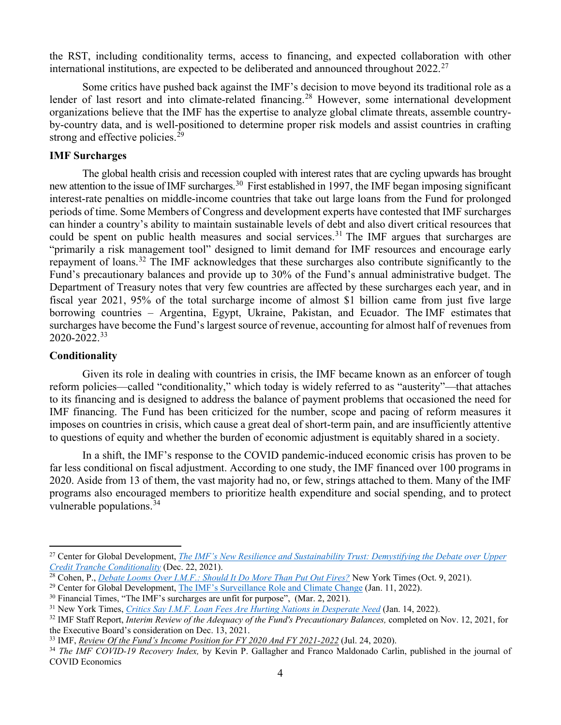the RST, including conditionality terms, access to financing, and expected collaboration with other international institutions, are expected to be deliberated and announced throughout  $2022.^{27}$  $2022.^{27}$  $2022.^{27}$ 

Some critics have pushed back against the IMF's decision to move beyond its traditional role as a lender of last resort and into climate-related financing.<sup>[28](#page-3-1)</sup> However, some international development organizations believe that the IMF has the expertise to analyze global climate threats, assemble countryby-country data, and is well-positioned to determine proper risk models and assist countries in crafting strong and effective policies.<sup>[29](#page-3-2)</sup>

#### **IMF Surcharges**

The global health crisis and recession coupled with interest rates that are cycling upwards has brought new attention to the issue of IMF surcharges.<sup>[30](#page-3-3)</sup> First established in 1997, the IMF began imposing significant interest-rate penalties on middle-income countries that take out large loans from the Fund for prolonged periods of time. Some Members of Congress and development experts have contested that IMF surcharges can hinder a country's ability to maintain sustainable levels of debt and also divert critical resources that could be spent on public health measures and social services.<sup>[31](#page-3-4)</sup> The IMF argues that surcharges are "primarily a risk management tool" designed to limit demand for IMF resources and encourage early repayment of loans.[32](#page-3-5) The IMF acknowledges that these surcharges also contribute significantly to the Fund's precautionary balances and provide up to 30% of the Fund's annual administrative budget. The Department of Treasury notes that very few countries are affected by these surcharges each year, and in fiscal year 2021, 95% of the total surcharge income of almost \$1 billion came from just five large borrowing countries – Argentina, Egypt, Ukraine, Pakistan, and Ecuador. The IMF estimates that surcharges have become the Fund's largest source of revenue, accounting for almost half of revenues from 2020-2022.[33](#page-3-6)

#### **Conditionality**

Given its role in dealing with countries in crisis, the IMF became known as an enforcer of tough reform policies—called "conditionality," which today is widely referred to as "austerity"—that attaches to its financing and is designed to address the balance of payment problems that occasioned the need for IMF financing. The Fund has been criticized for the number, scope and pacing of reform measures it imposes on countries in crisis, which cause a great deal of short-term pain, and are insufficiently attentive to questions of equity and whether the burden of economic adjustment is equitably shared in a society.

In a shift, the IMF's response to the COVID pandemic-induced economic crisis has proven to be far less conditional on fiscal adjustment. According to one study, the IMF financed over 100 programs in 2020. Aside from 13 of them, the vast majority had no, or few, strings attached to them. Many of the IMF programs also encouraged members to prioritize health expenditure and social spending, and to protect vulnerable populations.  $34$ 

<span id="page-3-0"></span><sup>27</sup> Center for Global Development, *[The IMF's New Resilience and Sustainability Trust: Demystifying the Debate over Upper](https://www.cgdev.org/blog/imfs-new-resilience-and-sustainability-trust-demystifying-debate-over-upper-credit-tranche)  [Credit Tranche Conditionality](https://www.cgdev.org/blog/imfs-new-resilience-and-sustainability-trust-demystifying-debate-over-upper-credit-tranche)* (Dec. 22, 2021).

<span id="page-3-1"></span><sup>28</sup> Cohen, P., *[Debate Looms Over I.M.F.: Should It Do More Than](https://www.nytimes.com/2021/10/09/business/economy/imf-mission.html) Put Out Fires?* New York Times (Oct. 9, 2021).

<span id="page-3-2"></span><sup>&</sup>lt;sup>29</sup> Center for Global Development, [The IMF's Surveillance Role and Climate Change](https://www.cgdev.org/blog/imfs-surveillance-role-and-climate-change) (Jan. 11, 2022).

<span id="page-3-3"></span><sup>&</sup>lt;sup>30</sup> Financial Times, "The IMF's [surcharges](https://www.ft.com/content/cc82f5bf-36c6-454f-b7f0-a4a18576ff2b?shareType=nongift&utm_content=156408650&utm_medium=social&utm_source=twitter&hss_channel=tw-905477617775771654) are unfit for purpose", (Mar. 2, 2021).

<span id="page-3-4"></span><sup>31</sup> New York Times, *[Critics Say I.M.F. Loan Fees Are Hurting Nations in Desperate Need](https://www.nytimes.com/2022/01/14/business/economy/imf-surcharges.html)* (Jan. 14, 2022).

<span id="page-3-5"></span><sup>32</sup> IMF Staff Report, *Interim Review of the Adequacy of the Fund's Precautionary Balances,* completed on Nov. 12, 2021, for the Executive Board's consideration on Dec. 13, 2021.

<span id="page-3-6"></span><sup>33</sup> IMF, *[Review Of the Fund's Income Position for FY 2020 And FY 2021-2022](https://www.imf.org/en/Publications/Policy-Papers/Issues/2020/07/24/Review-Of-The-Funds-Income-Position-For-FY-2020-And-FY-2021-2022-49606)* (Jul. 24, 2020).

<span id="page-3-7"></span><sup>34</sup> *The IMF COVID-19 Recovery Index,* by Kevin P. Gallagher and Franco Maldonado Carlin, published in the journal of COVID Economics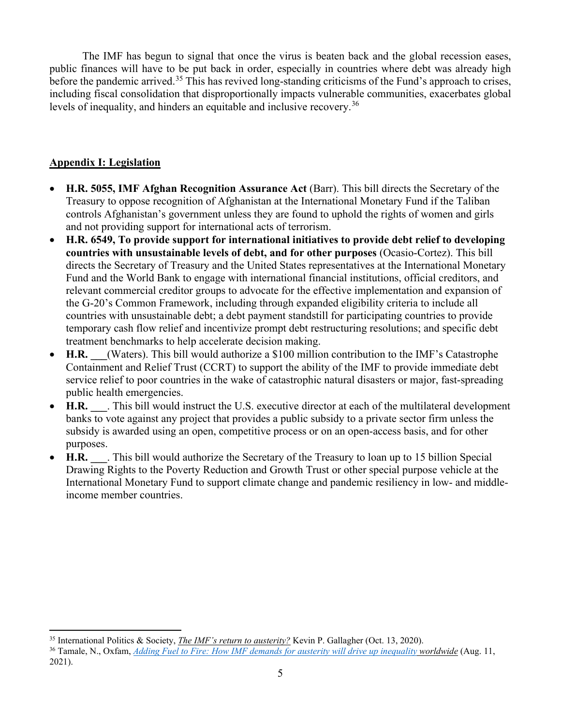The IMF has begun to signal that once the virus is beaten back and the global recession eases, public finances will have to be put back in order, especially in countries where debt was already high before the pandemic arrived.<sup>[35](#page-4-0)</sup> This has revived long-standing criticisms of the Fund's approach to crises, including fiscal consolidation that disproportionally impacts vulnerable communities, exacerbates global levels of inequality, and hinders an equitable and inclusive recovery.<sup>[36](#page-4-1)</sup>

## **Appendix I: Legislation**

- **H.R. 5055, IMF Afghan Recognition Assurance Act** (Barr). This bill directs the Secretary of the Treasury to oppose recognition of Afghanistan at the International Monetary Fund if the Taliban controls Afghanistan's government unless they are found to uphold the rights of women and girls and not providing support for international acts of terrorism.
- **H.R. 6549, To provide support for international initiatives to provide debt relief to developing countries with unsustainable levels of debt, and for other purposes** (Ocasio-Cortez). This bill directs the Secretary of Treasury and the United States representatives at the International Monetary Fund and the World Bank to engage with international financial institutions, official creditors, and relevant commercial creditor groups to advocate for the effective implementation and expansion of the G-20's Common Framework, including through expanded eligibility criteria to include all countries with unsustainable debt; a debt payment standstill for participating countries to provide temporary cash flow relief and incentivize prompt debt restructuring resolutions; and specific debt treatment benchmarks to help accelerate decision making.
- **H.R.** (Waters). This bill would authorize a \$100 million contribution to the IMF's Catastrophe Containment and Relief Trust (CCRT) to support the ability of the IMF to provide immediate debt service relief to poor countries in the wake of catastrophic natural disasters or major, fast-spreading public health emergencies.
- **H.R.** This bill would instruct the U.S. executive director at each of the multilateral development banks to vote against any project that provides a public subsidy to a private sector firm unless the subsidy is awarded using an open, competitive process or on an open-access basis, and for other purposes.
- **H.R.** This bill would authorize the Secretary of the Treasury to loan up to 15 billion Special Drawing Rights to the Poverty Reduction and Growth Trust or other special purpose vehicle at the International Monetary Fund to support climate change and pandemic resiliency in low- and middleincome member countries.

<span id="page-4-0"></span><sup>35</sup> International Politics & Society, *[The IMF's return to austerity?](https://www.ips-journal.eu/topics/democracy/the-imf-held-hostage-4710/)* Kevin P. Gallagher (Oct. 13, 2020).

<span id="page-4-1"></span><sup>&</sup>lt;sup>36</sup> Tamale, N., Oxfam, *[Adding Fuel to Fire: How IMF demands for austerity will drive up inequality](https://reliefweb.int/sites/reliefweb.int/files/resources/bp-covid-loans-imf-austerity-110821-en.pdf) worldwide* (Aug. 11, 2021).